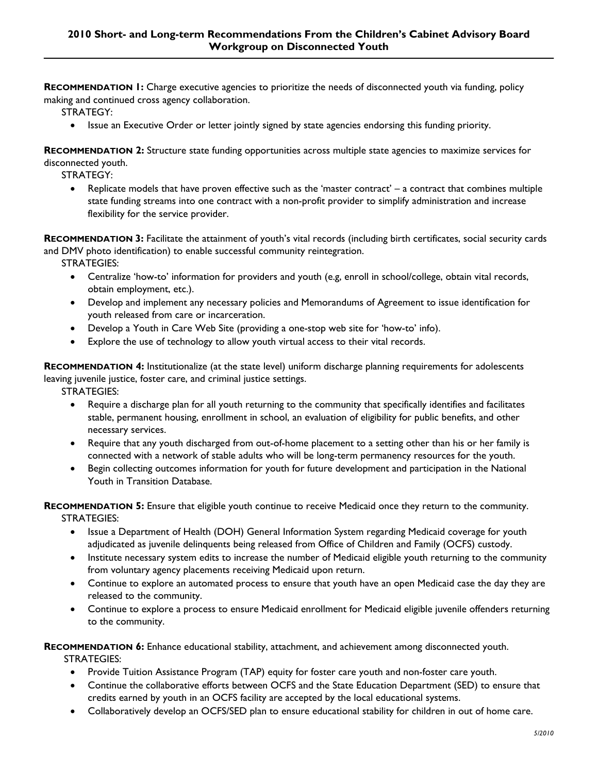**RECOMMENDATION 1:** Charge executive agencies to prioritize the needs of disconnected youth via funding, policy making and continued cross agency collaboration.

STRATEGY:

• Issue an Executive Order or letter jointly signed by state agencies endorsing this funding priority.

**RECOMMENDATION 2:** Structure state funding opportunities across multiple state agencies to maximize services for disconnected youth.

STRATEGY:

 Replicate models that have proven effective such as the 'master contract' – a contract that combines multiple state funding streams into one contract with a non-profit provider to simplify administration and increase flexibility for the service provider.

**RECOMMENDATION 3:** Facilitate the attainment of youth's vital records (including birth certificates, social security cards and DMV photo identification) to enable successful community reintegration.

STRATEGIES:

- Centralize 'how-to' information for providers and youth (e.g, enroll in school/college, obtain vital records, obtain employment, etc.).
- Develop and implement any necessary policies and Memorandums of Agreement to issue identification for youth released from care or incarceration.
- Develop a Youth in Care Web Site (providing a one-stop web site for 'how-to' info).
- Explore the use of technology to allow youth virtual access to their vital records.

**RECOMMENDATION 4:** Institutionalize (at the state level) uniform discharge planning requirements for adolescents leaving juvenile justice, foster care, and criminal justice settings.

STRATEGIES:

- Require a discharge plan for all youth returning to the community that specifically identifies and facilitates stable, permanent housing, enrollment in school, an evaluation of eligibility for public benefits, and other necessary services.
- Require that any youth discharged from out-of-home placement to a setting other than his or her family is connected with a network of stable adults who will be long-term permanency resources for the youth.
- Begin collecting outcomes information for youth for future development and participation in the National Youth in Transition Database.

**RECOMMENDATION 5:** Ensure that eligible youth continue to receive Medicaid once they return to the community. STRATEGIES:

- Issue a Department of Health (DOH) General Information System regarding Medicaid coverage for youth adjudicated as juvenile delinquents being released from Office of Children and Family (OCFS) custody.
- Institute necessary system edits to increase the number of Medicaid eligible youth returning to the community from voluntary agency placements receiving Medicaid upon return.
- Continue to explore an automated process to ensure that youth have an open Medicaid case the day they are released to the community.
- Continue to explore a process to ensure Medicaid enrollment for Medicaid eligible juvenile offenders returning to the community.

**RECOMMENDATION 6:** Enhance educational stability, attachment, and achievement among disconnected youth. STRATEGIES:

- Provide Tuition Assistance Program (TAP) equity for foster care youth and non-foster care youth.
- Continue the collaborative efforts between OCFS and the State Education Department (SED) to ensure that credits earned by youth in an OCFS facility are accepted by the local educational systems.
- Collaboratively develop an OCFS/SED plan to ensure educational stability for children in out of home care.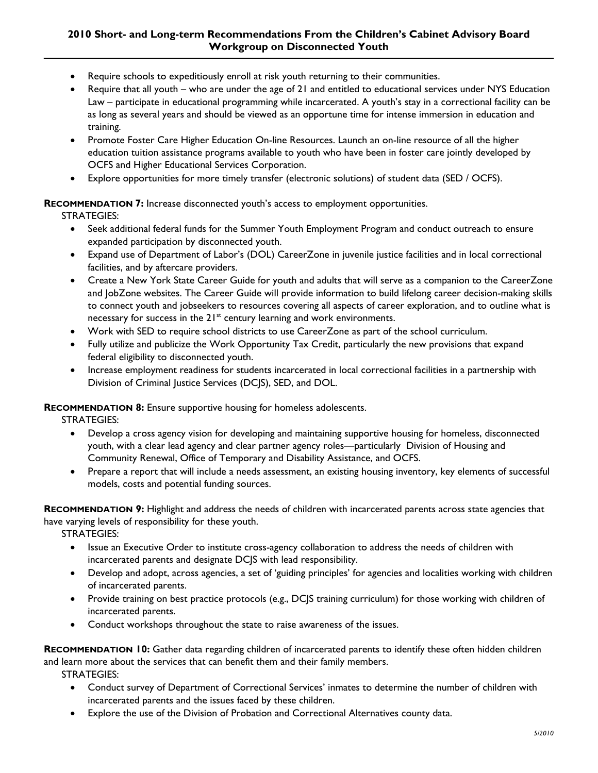## **2010 Short- and Long-term Recommendations From the Children's Cabinet Advisory Board Workgroup on Disconnected Youth**

- Require schools to expeditiously enroll at risk youth returning to their communities.
- Require that all youth who are under the age of 21 and entitled to educational services under NYS Education Law – participate in educational programming while incarcerated. A youth's stay in a correctional facility can be as long as several years and should be viewed as an opportune time for intense immersion in education and training.
- Promote Foster Care Higher Education On-line Resources. Launch an on-line resource of all the higher education tuition assistance programs available to youth who have been in foster care jointly developed by OCFS and Higher Educational Services Corporation.
- Explore opportunities for more timely transfer (electronic solutions) of student data (SED / OCFS).

## **RECOMMENDATION 7:** Increase disconnected youth's access to employment opportunities.

STRATEGIES:

- Seek additional federal funds for the Summer Youth Employment Program and conduct outreach to ensure expanded participation by disconnected youth.
- Expand use of Department of Labor's (DOL) CareerZone in juvenile justice facilities and in local correctional facilities, and by aftercare providers.
- Create a New York State Career Guide for youth and adults that will serve as a companion to the CareerZone and JobZone websites. The Career Guide will provide information to build lifelong career decision-making skills to connect youth and jobseekers to resources covering all aspects of career exploration, and to outline what is necessary for success in the 21<sup>st</sup> century learning and work environments.
- Work with SED to require school districts to use CareerZone as part of the school curriculum.
- Fully utilize and publicize the Work Opportunity Tax Credit, particularly the new provisions that expand federal eligibility to disconnected youth.
- Increase employment readiness for students incarcerated in local correctional facilities in a partnership with Division of Criminal Justice Services (DCJS), SED, and DOL.

## **RECOMMENDATION 8:** Ensure supportive housing for homeless adolescents.

STRATEGIES:

- Develop a cross agency vision for developing and maintaining supportive housing for homeless, disconnected youth, with a clear lead agency and clear partner agency roles—particularly Division of Housing and Community Renewal, Office of Temporary and Disability Assistance, and OCFS.
- Prepare a report that will include a needs assessment, an existing housing inventory, key elements of successful models, costs and potential funding sources.

**RECOMMENDATION 9:** Highlight and address the needs of children with incarcerated parents across state agencies that have varying levels of responsibility for these youth.

STRATEGIES:

- Issue an Executive Order to institute cross-agency collaboration to address the needs of children with incarcerated parents and designate DCJS with lead responsibility.
- Develop and adopt, across agencies, a set of 'guiding principles' for agencies and localities working with children of incarcerated parents.
- Provide training on best practice protocols (e.g., DC|S training curriculum) for those working with children of incarcerated parents.
- Conduct workshops throughout the state to raise awareness of the issues.

**RECOMMENDATION 10:** Gather data regarding children of incarcerated parents to identify these often hidden children and learn more about the services that can benefit them and their family members.

STRATEGIES:

- Conduct survey of Department of Correctional Services' inmates to determine the number of children with incarcerated parents and the issues faced by these children.
- Explore the use of the Division of Probation and Correctional Alternatives county data.